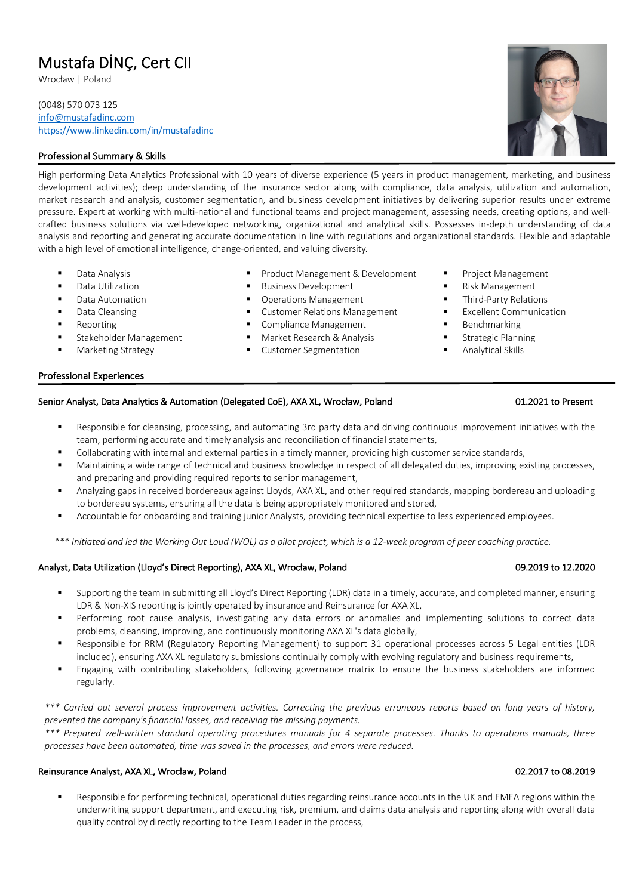# Mustafa DİNÇ, Cert CII Wrocław <sup>|</sup> Poland

(0048) 570 073 125 info@mustafadinc.com https://www.linkedin.com/in/mustafadinc

# Professional Summary & Skills

High performing Data Analytics Professional with 10 years of diverse experience (5 years in product management, marketing, and business development activities); deep understanding of the insurance sector along with compliance, data analysis, utilization and automation, market research and analysis, customer segmentation, and business development initiatives by delivering superior results under extreme pressure. Expert at working with multi-national and functional teams and project management, assessing needs, creating options, and wellcrafted business solutions via well-developed networking, organizational and analytical skills. Possesses in-depth understanding of data analysis and reporting and generating accurate documentation in line with regulations and organizational standards. Flexible and adaptable with a high level of emotional intelligence, change-oriented, and valuing diversity.

- Data Analysis
- Data Utilization
- Data Automation
- Data Cleansing
- § Reporting
- § Stakeholder Management
- § Marketing Strategy

## § Product Management & Development ■ Business Development

- § Operations Management
- Customer Relations Management
- Compliance Management
- § Market Research & Analysis
- Customer Segmentation
- § Project Management
- § Risk Management
- § Third-Party Relations
- Excellent Communication
- § Benchmarking
- § Strategic Planning
- § Analytical Skills

### Professional Experiences

# Senior Analyst, Data Analytics & Automation (Delegated CoE), AXA XL, Wrocław, Poland 01.2021 to Present

- Responsible for cleansing, processing, and automating 3rd party data and driving continuous improvement initiatives with the team, performing accurate and timely analysis and reconciliation of financial statements,
- Collaborating with internal and external parties in a timely manner, providing high customer service standards,
- § Maintaining a wide range of technical and business knowledge in respect of all delegated duties, improving existing processes, and preparing and providing required reports to senior management,
- § Analyzing gaps in received bordereaux against Lloyds, AXA XL, and other required standards, mapping bordereau and uploading to bordereau systems, ensuring all the data is being appropriately monitored and stored,
- 

*\*\*\* Initiated and led the Working Out Loud (WOL) as a pilot project, which is a 12-week program of peer coaching practice.*

# Analyst, Data Utilization (Lloyd's Direct Reporting), AXA XL, Wrocław, Poland 09.2019 to 12.2020

- § Supporting the team in submitting all Lloyd's Direct Reporting (LDR) data in a timely, accurate, and completed manner, ensuring LDR & Non-XIS reporting is jointly operated by insurance and Reinsurance for AXA XL,
- Performing root cause analysis, investigating any data errors or anomalies and implementing solutions to correct data problems, cleansing, improving, and continuously monitoring AXA XL's data globally,
- § Responsible for RRM (Regulatory Reporting Management) to support 31 operational processes across 5 Legal entities (LDR included), ensuring AXA XL regulatory submissions continually comply with evolving regulatory and business requirements,
- § Engaging with contributing stakeholders, following governance matrix to ensure the business stakeholders are informed regularly.

*\*\*\* Carried out several process improvement activities. Correcting the previous erroneous reports based on long years of history, prevented the company's financial losses, and receiving the missing payments.*

*\*\*\* Prepared well-written standard operating procedures manuals for 4 separate processes. Thanks to operations manuals, three processes have been automated, time was saved in the processes, and errors were reduced.*

# Reinsurance Analyst, AXA XL, Wrocław, Poland 02.2019 **CONSERVING CONSERVING CONSERVING CONSERVING** 02.2017 to 08.2019

Responsible for performing technical, operational duties regarding reinsurance accounts in the UK and EMEA regions within the underwriting support department, and executing risk, premium, and claims data analysis and reporting along with overall data quality control by directly reporting to the Team Leader in the process,

- 
- 
- 
- 
- 
- 
- § Accountable for onboarding and training junior Analysts, providing technical expertise to less experienced employees.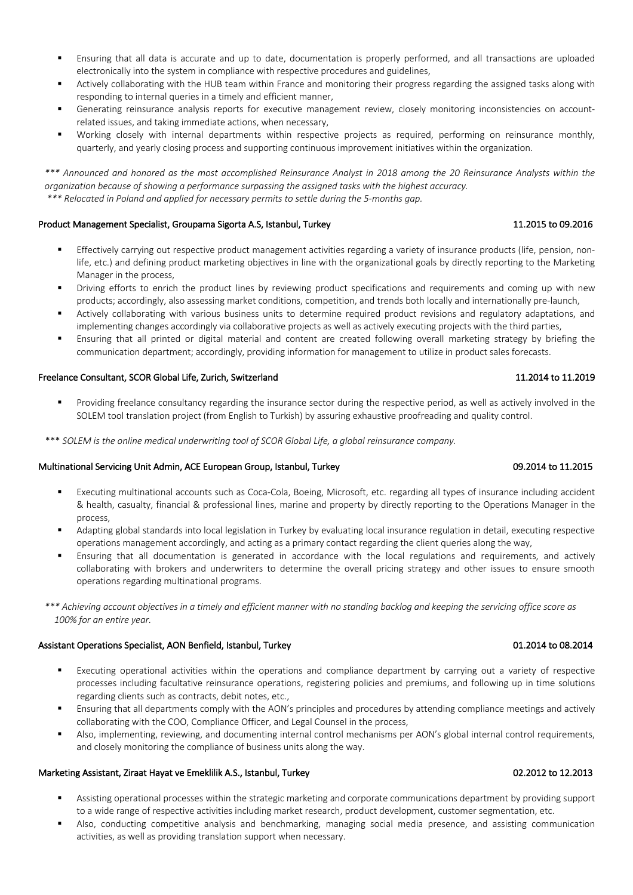- § Ensuring that all data is accurate and up to date, documentation is properly performed, and all transactions are uploaded electronically into the system in compliance with respective procedures and guidelines,
- § Actively collaborating with the HUB team within France and monitoring their progress regarding the assigned tasks along with responding to internal queries in a timely and efficient manner,
- Generating reinsurance analysis reports for executive management review, closely monitoring inconsistencies on accountrelated issues, and taking immediate actions, when necessary,
- Working closely with internal departments within respective projects as required, performing on reinsurance monthly, quarterly, and yearly closing process and supporting continuous improvement initiatives within the organization.

*\*\*\* Announced and honored as the most accomplished Reinsurance Analyst in 2018 among the 20 Reinsurance Analysts within the organization because of showing a performance surpassing the assigned tasks with the highest accuracy. \*\*\* Relocated in Poland and applied for necessary permits to settle during the 5-months gap.*

### Product Management Specialist, Groupama Sigorta A.S, Istanbul, Turkey 11.2016 11.2015 to 09.2016

- Effectively carrying out respective product management activities regarding a variety of insurance products (life, pension, nonlife, etc.) and defining product marketing objectives in line with the organizational goals by directly reporting to the Marketing Manager in the process,
- Driving efforts to enrich the product lines by reviewing product specifications and requirements and coming up with new products; accordingly, also assessing market conditions, competition, and trends both locally and internationally pre-launch,
- Actively collaborating with various business units to determine required product revisions and regulatory adaptations, and implementing changes accordingly via collaborative projects as well as actively executing projects with the third parties,
- Ensuring that all printed or digital material and content are created following overall marketing strategy by briefing the communication department; accordingly, providing information for management to utilize in product sales forecasts.

### Freelance Consultant, SCOR Global Life, Zurich, Switzerland 11.2014 to 11.2014 to 11.2019

Providing freelance consultancy regarding the insurance sector during the respective period, as well as actively involved in the SOLEM tool translation project (from English to Turkish) by assuring exhaustive proofreading and quality control.

\*\*\* *SOLEM is the online medical underwriting tool of SCOR Global Life, a global reinsurance company.*

### Multinational Servicing Unit Admin, ACE European Group, Istanbul, Turkey 09.2014 1992 09.2014 to 11.2015

- Executing multinational accounts such as Coca-Cola, Boeing, Microsoft, etc. regarding all types of insurance including accident & health, casualty, financial & professional lines, marine and property by directly reporting to the Operations Manager in the process,
- Adapting global standards into local legislation in Turkey by evaluating local insurance regulation in detail, executing respective operations management accordingly, and acting as a primary contact regarding the client queries along the way,
- § Ensuring that all documentation is generated in accordance with the local regulations and requirements, and actively collaborating with brokers and underwriters to determine the overall pricing strategy and other issues to ensure smooth operations regarding multinational programs.

*\*\*\* Achieving account objectives in a timely and efficient manner with no standing backlog and keeping the servicing office score as 100% for an entire year.* 

### Assistant Operations Specialist, AON Benfield, Istanbul, Turkey 01.2014 to 08.2014

- Executing operational activities within the operations and compliance department by carrying out a variety of respective processes including facultative reinsurance operations, registering policies and premiums, and following up in time solutions regarding clients such as contracts, debit notes, etc.,
- § Ensuring that all departments comply with the AON's principles and procedures by attending compliance meetings and actively collaborating with the COO, Compliance Officer, and Legal Counsel in the process,
- § Also, implementing, reviewing, and documenting internal control mechanisms per AON's global internal control requirements, and closely monitoring the compliance of business units along the way.

### Marketing Assistant, Ziraat Hayat ve Emeklilik A.S., Istanbul, Turkey 02.2012 to 12.2013

- § Assisting operational processes within the strategic marketing and corporate communications department by providing support to a wide range of respective activities including market research, product development, customer segmentation, etc.
- § Also, conducting competitive analysis and benchmarking, managing social media presence, and assisting communication activities, as well as providing translation support when necessary.